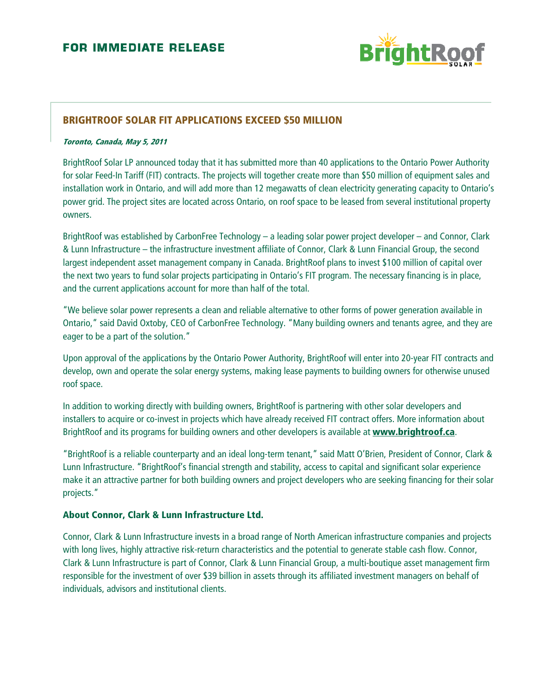

## **BRIGHTROOF SOLAR FIT APPLICATIONS EXCEED \$50 MILLION**

#### Toronto, Canada, May 5, 2011

BrightRoof Solar LP announced today that it has submitted more than 40 applications to the Ontario Power Authority for solar Feed-In Tariff (FIT) contracts. The projects will together create more than \$50 million of equipment sales and installation work in Ontario, and will add more than 12 megawatts of clean electricity generating capacity to Ontario's power grid. The project sites are located across Ontario, on roof space to be leased from several institutional property owners.

BrightRoof was established by CarbonFree Technology – a leading solar power project developer – and Connor, Clark & Lunn Infrastructure – the infrastructure investment affiliate of Connor, Clark & Lunn Financial Group, the second largest independent asset management company in Canada. BrightRoof plans to invest \$100 million of capital over the next two years to fund solar projects participating in Ontario's FIT program. The necessary financing is in place, and the current applications account for more than half of the total.

"We believe solar power represents a clean and reliable alternative to other forms of power generation available in Ontario," said David Oxtoby, CEO of CarbonFree Technology. "Many building owners and tenants agree, and they are eager to be a part of the solution."

Upon approval of the applications by the Ontario Power Authority, BrightRoof will enter into 20-year FIT contracts and develop, own and operate the solar energy systems, making lease payments to building owners for otherwise unused roof space.

In addition to working directly with building owners, BrightRoof is partnering with other solar developers and installers to acquire or co-invest in projects which have already received FIT contract offers. More information about BrightRoof and its programs for building owners and other developers is available at www.brightroof.ca.

"BrightRoof is a reliable counterparty and an ideal long-term tenant," said Matt O'Brien, President of Connor, Clark & Lunn Infrastructure. "BrightRoof's financial strength and stability, access to capital and significant solar experience make it an attractive partner for both building owners and project developers who are seeking financing for their solar projects."

#### About Connor, Clark & Lunn Infrastructure Ltd.

Connor, Clark & Lunn Infrastructure invests in a broad range of North American infrastructure companies and projects with long lives, highly attractive risk-return characteristics and the potential to generate stable cash flow. Connor, Clark & Lunn Infrastructure is part of Connor, Clark & Lunn Financial Group, a multi-boutique asset management firm responsible for the investment of over \$39 billion in assets through its affiliated investment managers on behalf of individuals, advisors and institutional clients.